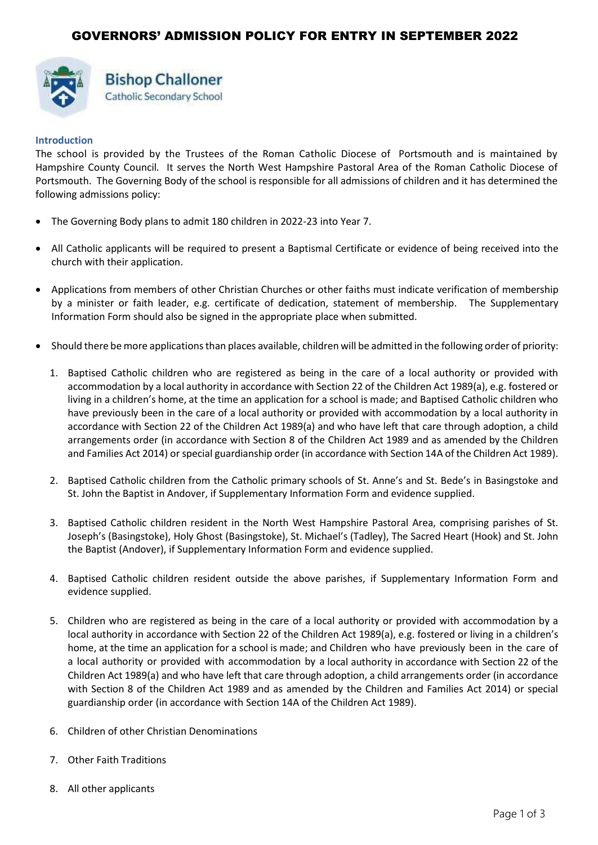

# **Bishop Challoner** Catholic Secondary School

## **Introduction**

The school is provided by the Trustees of the Roman Catholic Diocese of Portsmouth and is maintained by Hampshire County Council. It serves the North West Hampshire Pastoral Area of the Roman Catholic Diocese of Portsmouth. The Governing Body of the school is responsible for all admissions of children and it has determined the following admissions policy:

- The Governing Body plans to admit 180 children in 2022-23 into Year 7.
- All Catholic applicants will be required to present a Baptismal Certificate or evidence of being received into the church with their application.
- Applications from members of other Christian Churches or other faiths must indicate verification of membership by a minister or faith leader, e.g. certificate of dedication, statement of membership. The Supplementary Information Form should also be signed in the appropriate place when submitted.
- Should there be more applications than places available, children will be admitted in the following order of priority:
	- 1. Baptised Catholic children who are registered as being in the care of a local authority or provided with accommodation by a local authority in accordance with Section 22 of the Children Act 1989(a), e.g. fostered or living in a children's home, at the time an application for a school is made; and Baptised Catholic children who have previously been in the care of a local authority or provided with accommodation by a local authority in accordance with Section 22 of the Children Act 1989(a) and who have left that care through adoption, a child arrangements order (in accordance with Section 8 of the Children Act 1989 and as amended by the Children and Families Act 2014) or special guardianship order (in accordance with Section 14A of the Children Act 1989).
	- 2. Baptised Catholic children from the Catholic primary schools of St. Anne's and St. Bede's in Basingstoke and St. John the Baptist in Andover, if Supplementary Information Form and evidence supplied.
	- 3. Baptised Catholic children resident in the North West Hampshire Pastoral Area, comprising parishes of St. Joseph's (Basingstoke), Holy Ghost (Basingstoke), St. Michael's (Tadley), The Sacred Heart (Hook) and St. John the Baptist (Andover), if Supplementary Information Form and evidence supplied.
	- 4. Baptised Catholic children resident outside the above parishes, if Supplementary Information Form and evidence supplied.
	- 5. Children who are registered as being in the care of a local authority or provided with accommodation by a local authority in accordance with Section 22 of the Children Act 1989(a), e.g. fostered or living in a children's home, at the time an application for a school is made; and Children who have previously been in the care of a local authority or provided with accommodation by a local authority in accordance with Section 22 of the Children Act 1989(a) and who have left that care through adoption, a child arrangements order (in accordance with Section 8 of the Children Act 1989 and as amended by the Children and Families Act 2014) or special guardianship order (in accordance with Section 14A of the Children Act 1989).
	- 6. Children of other Christian Denominations
	- 7. Other Faith Traditions
	- 8. All other applicants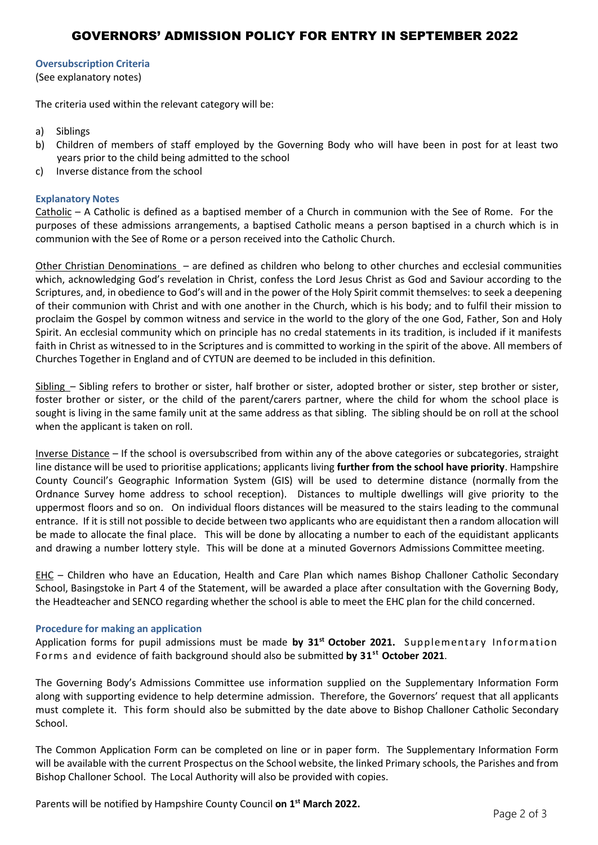## GOVERNORS' ADMISSION POLICY FOR ENTRY IN SEPTEMBER 2022

## **Oversubscription Criteria**

(See explanatory notes)

The criteria used within the relevant category will be:

- a) Siblings
- b) Children of members of staff employed by the Governing Body who will have been in post for at least two years prior to the child being admitted to the school
- c) Inverse distance from the school

#### **Explanatory Notes**

Catholic – A Catholic is defined as a baptised member of a Church in communion with the See of Rome. For the purposes of these admissions arrangements, a baptised Catholic means a person baptised in a church which is in communion with the See of Rome or a person received into the Catholic Church.

Other Christian Denominations – are defined as children who belong to other churches and ecclesial communities which, acknowledging God's revelation in Christ, confess the Lord Jesus Christ as God and Saviour according to the Scriptures, and, in obedience to God's will and in the power of the Holy Spirit commit themselves: to seek a deepening of their communion with Christ and with one another in the Church, which is his body; and to fulfil their mission to proclaim the Gospel by common witness and service in the world to the glory of the one God, Father, Son and Holy Spirit. An ecclesial community which on principle has no credal statements in its tradition, is included if it manifests faith in Christ as witnessed to in the Scriptures and is committed to working in the spirit of the above. All members of Churches Together in England and of CYTUN are deemed to be included in this definition.

Sibling – Sibling refers to brother or sister, half brother or sister, adopted brother or sister, step brother or sister, foster brother or sister, or the child of the parent/carers partner, where the child for whom the school place is sought is living in the same family unit at the same address as that sibling. The sibling should be on roll at the school when the applicant is taken on roll.

Inverse Distance – If the school is oversubscribed from within any of the above categories or subcategories, straight line distance will be used to prioritise applications; applicants living **further from the school have priority**. Hampshire County Council's Geographic Information System (GIS) will be used to determine distance (normally from the Ordnance Survey home address to school reception). Distances to multiple dwellings will give priority to the uppermost floors and so on. On individual floors distances will be measured to the stairs leading to the communal entrance. If it is still not possible to decide between two applicants who are equidistant then a random allocation will be made to allocate the final place. This will be done by allocating a number to each of the equidistant applicants and drawing a number lottery style. This will be done at a minuted Governors Admissions Committee meeting.

EHC - Children who have an Education, Health and Care Plan which names Bishop Challoner Catholic Secondary School, Basingstoke in Part 4 of the Statement, will be awarded a place after consultation with the Governing Body, the Headteacher and SENCO regarding whether the school is able to meet the EHC plan for the child concerned.

#### **Procedure for making an application**

Application forms for pupil admissions must be made **by 31st October 2021.** Supplementary Information Forms and evidence of faith background should also be submitted **by 31st October 2021**.

The Governing Body's Admissions Committee use information supplied on the Supplementary Information Form along with supporting evidence to help determine admission. Therefore, the Governors' request that all applicants must complete it. This form should also be submitted by the date above to Bishop Challoner Catholic Secondary School.

The Common Application Form can be completed on line or in paper form. The Supplementary Information Form will be available with the current Prospectus on the School website, the linked Primary schools, the Parishes and from Bishop Challoner School. The Local Authority will also be provided with copies.

Parents will be notified by Hampshire County Council **on 1 st March 2022.**